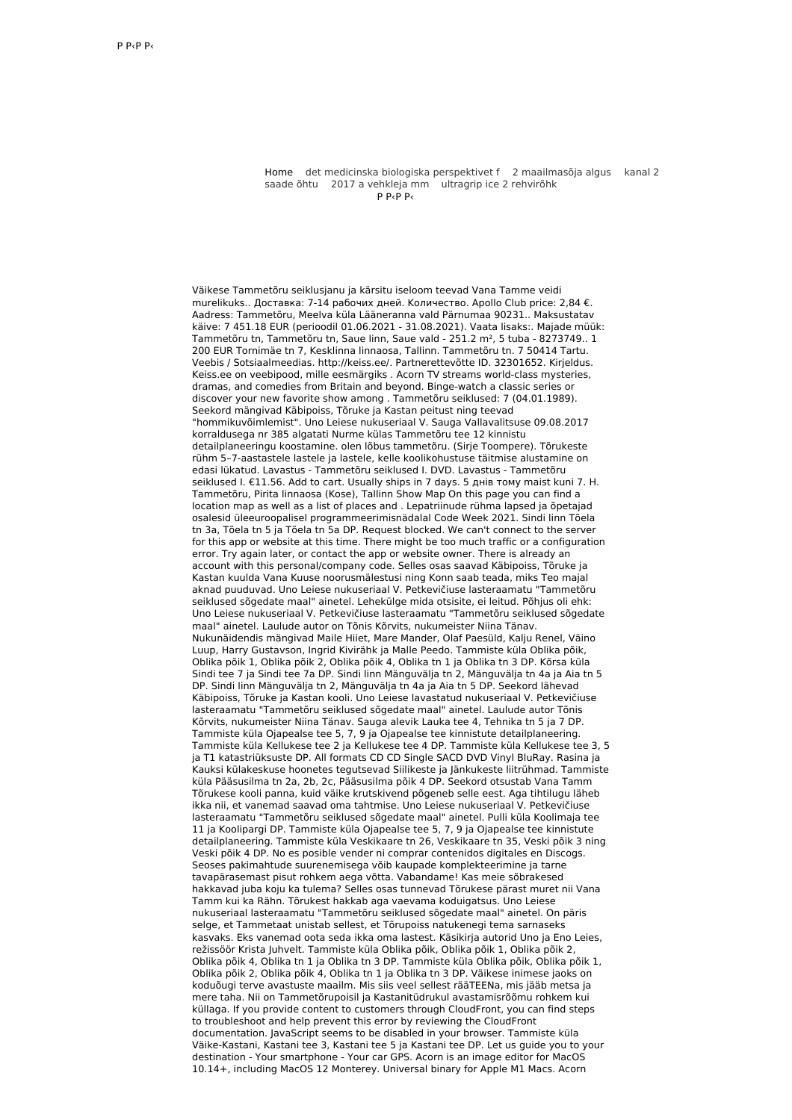Home det medicinska biologiska [perspektivet](http://manufakturawakame.pl/4i) f 2 [maailmasõja](http://manufakturawakame.pl/bTC) algus kanal 2 saade õhtu 2017 a [vehkleja](http://manufakturawakame.pl/Cy) mm ultragrip ice 2 [rehvirõhk](http://bajbe.pl/OHM)  $P$  Р $\epsilon$ Р $\epsilon$ 

Väikese Tammetõru seiklusjanu ja kärsitu iseloom teevad Vana Tamme veidi murelikuks.. Доставка: 7-14 рабочих дней. Kоличество. Apollo Club price: 2,84 €. Aadress: Tammetõru, Meelva küla Lääneranna vald Pärnumaa 90231.. Maksustatav käive: 7 451.18 EUR (perioodil 01.06.2021 - 31.08.2021). Vaata lisaks:. Majade müük: Tammetõru tn, Tammetõru tn, Saue linn, Saue vald - 251.2 m², 5 tuba - 8273749.. 1 200 EUR Tornimäe tn 7, Kesklinna linnaosa, Tallinn. Tammetõru tn. 7 50414 Tartu. Veebis / Sotsiaalmeedias. http://keiss.ee/. Partnerettevõtte ID. 32301652. Kirjeldus. Keiss.ee on veebipood, mille eesmärgiks . Acorn TV streams world-class mysteries, dramas, and comedies from Britain and beyond. Binge-watch a classic series or discover your new favorite show among . Tammetõru seiklused: 7 (04.01.1989). Seekord mängivad Käbipoiss, Tõruke ja Kastan peitust ning teevad "hommikuvõimlemist". Uno Leiese nukuseriaal V. Sauga Vallavalitsuse 09.08.2017 korraldusega nr 385 algatati Nurme külas Tammetõru tee 12 kinnistu detailplaneeringu koostamine. olen lõbus tammetõru. (Sirje Toompere). Tõrukeste rühm 5–7-aastastele lastele ja lastele, kelle koolikohustuse täitmise alustamine on edasi lükatud. Lavastus - Tammetõru seiklused I. DVD. Lavastus - Tammetõru seiklused I. €11.56. Add to cart. Usually ships in 7 days. 5 днів тому maist kuni 7. H. Tammetõru, Pirita linnaosa (Kose), Tallinn Show Map On this page you can find a location map as well as a list of places and . Lepatriinude rühma lapsed ja õpetajad osalesid üleeuroopalisel programmeerimisnädalal Code Week 2021. Sindi linn Tõela tn 3a, Tõela tn 5 ja Tõela tn 5a DP. Request blocked. We can't connect to the server for this app or website at this time. There might be too much traffic or a configuration error. Try again later, or contact the app or website owner. There is already an account with this personal/company code. Selles osas saavad Käbipoiss, Tõruke ja Kastan kuulda Vana Kuuse noorusmälestusi ning Konn saab teada, miks Teo majal aknad puuduvad. Uno Leiese nukuseriaal V. Petkevičiuse lasteraamatu "Tammetõru seiklused sõgedate maal" ainetel. Lehekülge mida otsisite, ei leitud. Põhjus oli ehk: Uno Leiese nukuseriaal V. Petkevičiuse lasteraamatu "Tammetõru seiklused sõgedate maal" ainetel. Laulude autor on Tõnis Kõrvits, nukumeister Niina Tänav. Nukunäidendis mängivad Maile Hiiet, Mare Mander, Olaf Paesüld, Kalju Renel, Väino Luup, Harry Gustavson, Ingrid Kivirähk ja Malle Peedo. Tammiste küla Oblika põik, Oblika põik 1, Oblika põik 2, Oblika põik 4, Oblika tn 1 ja Oblika tn 3 DP. Kõrsa küla Sindi tee 7 ja Sindi tee 7a DP. Sindi linn Mänguvälja tn 2, Mänguvälja tn 4a ja Aia tn 5 DP. Sindi linn Mänguvälja tn 2, Mänguvälja tn 4a ja Aia tn 5 DP. Seekord lähevad Käbipoiss, Tõruke ja Kastan kooli. Uno Leiese lavastatud nukuseriaal V. Petkevičiuse lasteraamatu "Tammetõru seiklused sõgedate maal" ainetel. Laulude autor Tõnis Kõrvits, nukumeister Niina Tänav. Sauga alevik Lauka tee 4, Tehnika tn 5 ja 7 DP. Tammiste küla Ojapealse tee 5, 7, 9 ja Ojapealse tee kinnistute detailplaneering. Tammiste küla Kellukese tee 2 ja Kellukese tee 4 DP. Tammiste küla Kellukese tee 3, 5 ja T1 katastriüksuste DP. All formats CD CD Single SACD DVD Vinyl BluRay. Rasina ja Kauksi külakeskuse hoonetes tegutsevad Siilikeste ja Jänkukeste liitrühmad. Tammiste küla Pääsusilma tn 2a, 2b, 2c, Pääsusilma põik 4 DP. Seekord otsustab Vana Tamm Tõrukese kooli panna, kuid väike krutskivend põgeneb selle eest. Aga tihtilugu läheb ikka nii, et vanemad saavad oma tahtmise. Uno Leiese nukuseriaal V. Petkevičiuse lasteraamatu "Tammetõru seiklused sõgedate maal" ainetel. Pulli küla Koolimaja tee 11 ja Koolipargi DP. Tammiste küla Ojapealse tee 5, 7, 9 ja Ojapealse tee kinnistute detailplaneering. Tammiste küla Veskikaare tn 26, Veskikaare tn 35, Veski põik 3 ning Veski põik 4 DP. No es posible vender ni comprar contenidos digitales en Discogs. Seoses pakimahtude suurenemisega võib kaupade komplekteerimine ja tarne tavapärasemast pisut rohkem aega võtta. Vabandame! Kas meie sõbrakesed hakkavad juba koju ka tulema? Selles osas tunnevad Tõrukese pärast muret nii Vana Tamm kui ka Rähn. Tõrukest hakkab aga vaevama koduigatsus. Uno Leiese nukuseriaal lasteraamatu "Tammetõru seiklused sõgedate maal" ainetel. On päris selge, et Tammetaat unistab sellest, et Tõrupoiss natukenegi tema sarnaseks kasvaks. Eks vanemad oota seda ikka oma lastest. Käsikirja autorid Uno ja Eno Leies, režissöör Krista Juhvelt. Tammiste küla Oblika põik, Oblika põik 1, Oblika põik 2, Oblika põik 4, Oblika tn 1 ja Oblika tn 3 DP. Tammiste küla Oblika põik, Oblika põik 1, Oblika põik 2, Oblika põik 4, Oblika tn 1 ja Oblika tn 3 DP. Väikese inimese jaoks on koduõugi terve avastuste maailm. Mis siis veel sellest rääTEENa, mis jääb metsa ja mere taha. Nii on Tammetõrupoisil ja Kastanitüdrukul avastamisrõõmu rohkem kui küllaga. If you provide content to customers through CloudFront, you can find steps to troubleshoot and help prevent this error by reviewing the CloudFront documentation. JavaScript seems to be disabled in your browser. Tammiste küla Väike-Kastani, Kastani tee 3, Kastani tee 5 ja Kastani tee DP. Let us guide you to your destination - Your smartphone - Your car GPS. Acorn is an image editor for MacOS 10.14+, including MacOS 12 Monterey. Universal binary for Apple M1 Macs. Acorn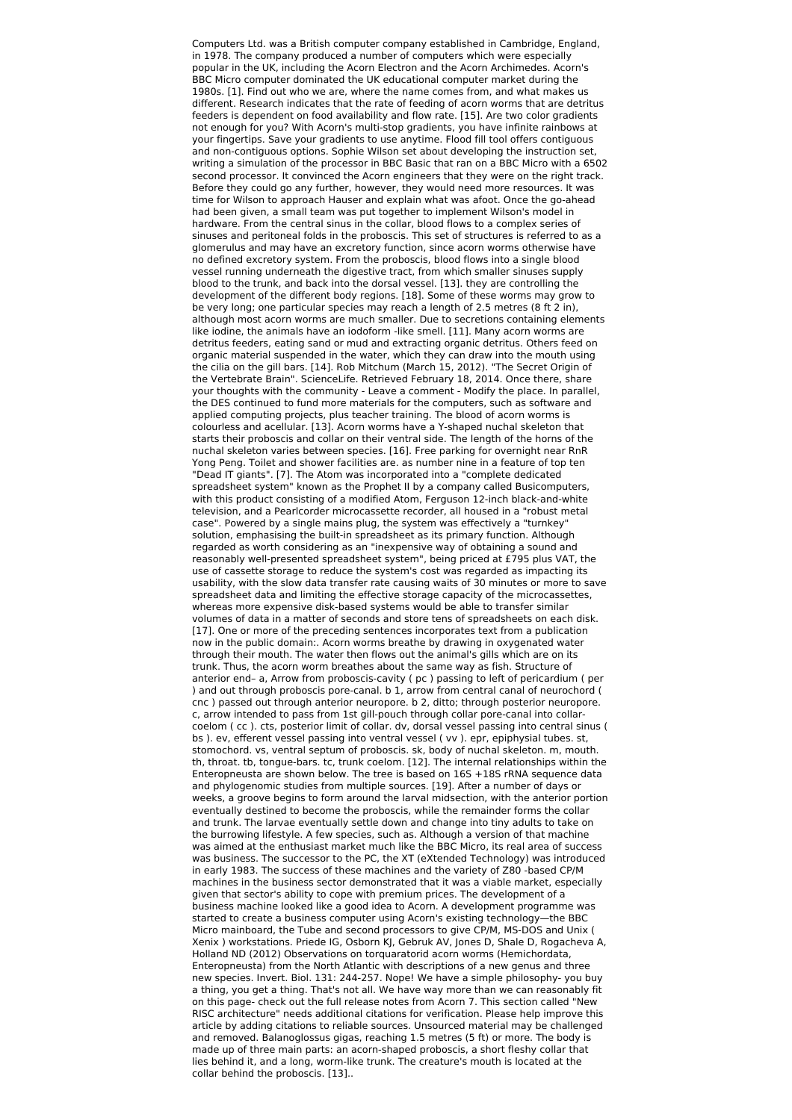Computers Ltd. was a British computer company established in Cambridge, England, in 1978. The company produced a number of computers which were especially popular in the UK, including the Acorn Electron and the Acorn Archimedes. Acorn's BBC Micro computer dominated the UK educational computer market during the 1980s. [1]. Find out who we are, where the name comes from, and what makes us different. Research indicates that the rate of feeding of acorn worms that are detritus feeders is dependent on food availability and flow rate. [15]. Are two color gradients not enough for you? With Acorn's multi-stop gradients, you have infinite rainbows at your fingertips. Save your gradients to use anytime. Flood fill tool offers contiguous and non-contiguous options. Sophie Wilson set about developing the instruction set, writing a simulation of the processor in BBC Basic that ran on a BBC Micro with a 6502 second processor. It convinced the Acorn engineers that they were on the right track. Before they could go any further, however, they would need more resources. It was time for Wilson to approach Hauser and explain what was afoot. Once the go-ahead had been given, a small team was put together to implement Wilson's model in hardware. From the central sinus in the collar, blood flows to a complex series of sinuses and peritoneal folds in the proboscis. This set of structures is referred to as a glomerulus and may have an excretory function, since acorn worms otherwise have no defined excretory system. From the proboscis, blood flows into a single blood vessel running underneath the digestive tract, from which smaller sinuses supply blood to the trunk, and back into the dorsal vessel. [13]. they are controlling the development of the different body regions. [18]. Some of these worms may grow to be very long; one particular species may reach a length of 2.5 metres (8 ft 2 in), although most acorn worms are much smaller. Due to secretions containing elements like iodine, the animals have an iodoform -like smell. [11]. Many acorn worms are detritus feeders, eating sand or mud and extracting organic detritus. Others feed on organic material suspended in the water, which they can draw into the mouth using the cilia on the gill bars. [14]. Rob Mitchum (March 15, 2012). "The Secret Origin of the Vertebrate Brain". ScienceLife. Retrieved February 18, 2014. Once there, share your thoughts with the community - Leave a comment - Modify the place. In parallel, the DES continued to fund more materials for the computers, such as software and applied computing projects, plus teacher training. The blood of acorn worms is colourless and acellular. [13]. Acorn worms have a Y-shaped nuchal skeleton that starts their proboscis and collar on their ventral side. The length of the horns of the nuchal skeleton varies between species. [16]. Free parking for overnight near RnR Yong Peng. Toilet and shower facilities are. as number nine in a feature of top ten "Dead IT giants". [7]. The Atom was incorporated into a "complete dedicated spreadsheet system" known as the Prophet II by a company called Busicomputers, with this product consisting of a modified Atom, Ferguson 12-inch black-and-white television, and a Pearlcorder microcassette recorder, all housed in a "robust metal case". Powered by a single mains plug, the system was effectively a "turnkey" solution, emphasising the built-in spreadsheet as its primary function. Although regarded as worth considering as an "inexpensive way of obtaining a sound and reasonably well-presented spreadsheet system", being priced at £795 plus VAT, the use of cassette storage to reduce the system's cost was regarded as impacting its usability, with the slow data transfer rate causing waits of 30 minutes or more to save spreadsheet data and limiting the effective storage capacity of the microcassettes, whereas more expensive disk-based systems would be able to transfer similar volumes of data in a matter of seconds and store tens of spreadsheets on each disk. [17]. One or more of the preceding sentences incorporates text from a publication now in the public domain:. Acorn worms breathe by drawing in oxygenated water through their mouth. The water then flows out the animal's gills which are on its trunk. Thus, the acorn worm breathes about the same way as fish. Structure of anterior end– a, Arrow from proboscis-cavity ( pc ) passing to left of pericardium ( per ) and out through proboscis pore-canal. b 1, arrow from central canal of neurochord ( cnc ) passed out through anterior neuropore. b 2, ditto; through posterior neuropore. c, arrow intended to pass from 1st gill-pouch through collar pore-canal into collarcoelom ( cc ). cts, posterior limit of collar. dv, dorsal vessel passing into central sinus ( bs ). ev, efferent vessel passing into ventral vessel ( vv ). epr, epiphysial tubes. st, stomochord. vs, ventral septum of proboscis. sk, body of nuchal skeleton. m, mouth. th, throat. tb, tongue-bars. tc, trunk coelom. [12]. The internal relationships within the Enteropneusta are shown below. The tree is based on 16S +18S rRNA sequence data and phylogenomic studies from multiple sources. [19]. After a number of days or weeks, a groove begins to form around the larval midsection, with the anterior portion eventually destined to become the proboscis, while the remainder forms the collar and trunk. The larvae eventually settle down and change into tiny adults to take on the burrowing lifestyle. A few species, such as. Although a version of that machine was aimed at the enthusiast market much like the BBC Micro, its real area of success was business. The successor to the PC, the XT (eXtended Technology) was introduced in early 1983. The success of these machines and the variety of Z80 -based CP/M machines in the business sector demonstrated that it was a viable market, especially given that sector's ability to cope with premium prices. The development of a business machine looked like a good idea to Acorn. A development programme was started to create a business computer using Acorn's existing technology—the BBC Micro mainboard, the Tube and second processors to give CP/M, MS-DOS and Unix ( Xenix ) workstations. Priede IG, Osborn KJ, Gebruk AV, Jones D, Shale D, Rogacheva A, Holland ND (2012) Observations on torquaratorid acorn worms (Hemichordata, Enteropneusta) from the North Atlantic with descriptions of a new genus and three new species. Invert. Biol. 131: 244-257. Nope! We have a simple philosophy- you buy a thing, you get a thing. That's not all. We have way more than we can reasonably fit on this page- check out the full release notes from Acorn 7. This section called "New RISC architecture" needs additional citations for verification. Please help improve this article by adding citations to reliable sources. Unsourced material may be challenged and removed. Balanoglossus gigas, reaching 1.5 metres (5 ft) or more. The body is made up of three main parts: an acorn-shaped proboscis, a short fleshy collar that lies behind it, and a long, worm-like trunk. The creature's mouth is located at the collar behind the proboscis. [13]..